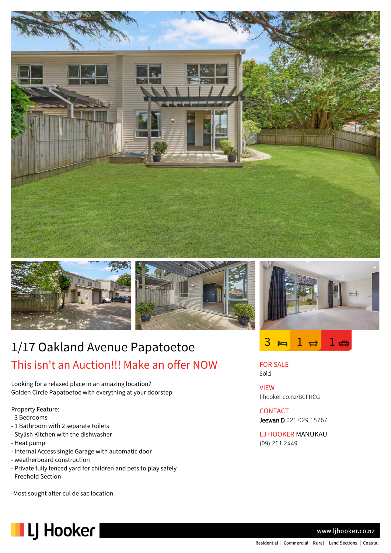







FOR SALE Sold

**CONTACT** 

(09) 261 2449

ljhooker.co.nz/BCFHCG

Jeewan D 021 029 15767

LJ HOOKER MANUKAU

VIEW

# 1/17 Oakland Avenue Papatoetoe This isn't an Auction!!! Make an offer NOW

Looking for a relaxed place in an amazing location? Golden Circle Papatoetoe with everything at your doorstep

Property Feature:

- 3 Bedrooms
- 1 Bathroom with 2 separate toilets
- Stylish Kitchen with the dishwasher
- Heat pump
- Internal Access single Garage with automatic door
- weatherboard construction
- Private fully fenced yard for children and pets to play safely
- Freehold Section

-Most sought after cul de sac location